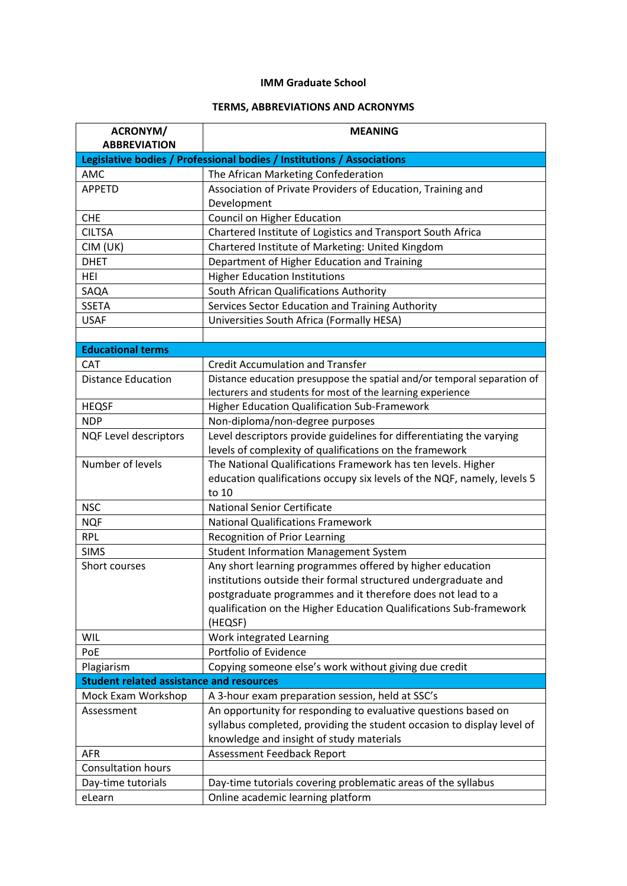## **IMM Graduate School**

## **TERMS, ABBREVIATIONS AND ACRONYMS**

| ACRONYM/                                        | <b>MEANING</b>                                                          |
|-------------------------------------------------|-------------------------------------------------------------------------|
| <b>ABBREVIATION</b>                             |                                                                         |
|                                                 | Legislative bodies / Professional bodies / Institutions / Associations  |
| AMC                                             | The African Marketing Confederation                                     |
| <b>APPETD</b>                                   | Association of Private Providers of Education, Training and             |
|                                                 | Development                                                             |
| <b>CHE</b>                                      | Council on Higher Education                                             |
| <b>CILTSA</b>                                   | Chartered Institute of Logistics and Transport South Africa             |
| CIM (UK)                                        | Chartered Institute of Marketing: United Kingdom                        |
| <b>DHET</b>                                     | Department of Higher Education and Training                             |
| <b>HEI</b>                                      | <b>Higher Education Institutions</b>                                    |
| SAQA                                            | South African Qualifications Authority                                  |
| <b>SSETA</b>                                    | Services Sector Education and Training Authority                        |
| <b>USAF</b>                                     | Universities South Africa (Formally HESA)                               |
|                                                 |                                                                         |
| <b>Educational terms</b>                        |                                                                         |
| <b>CAT</b>                                      | <b>Credit Accumulation and Transfer</b>                                 |
| <b>Distance Education</b>                       | Distance education presuppose the spatial and/or temporal separation of |
|                                                 | lecturers and students for most of the learning experience              |
| <b>HEQSF</b>                                    | Higher Education Qualification Sub-Framework                            |
| <b>NDP</b>                                      | Non-diploma/non-degree purposes                                         |
| <b>NQF Level descriptors</b>                    | Level descriptors provide guidelines for differentiating the varying    |
|                                                 | levels of complexity of qualifications on the framework                 |
| Number of levels                                | The National Qualifications Framework has ten levels. Higher            |
|                                                 | education qualifications occupy six levels of the NQF, namely, levels 5 |
|                                                 | to 10                                                                   |
| <b>NSC</b>                                      | <b>National Senior Certificate</b>                                      |
| <b>NQF</b>                                      | <b>National Qualifications Framework</b>                                |
| <b>RPL</b>                                      | Recognition of Prior Learning                                           |
| <b>SIMS</b>                                     | <b>Student Information Management System</b>                            |
| Short courses                                   | Any short learning programmes offered by higher education               |
|                                                 | institutions outside their formal structured undergraduate and          |
|                                                 | postgraduate programmes and it therefore does not lead to a             |
|                                                 | qualification on the Higher Education Qualifications Sub-framework      |
|                                                 | (HEQSF)                                                                 |
| <b>WIL</b>                                      | Work integrated Learning                                                |
| PoE                                             | Portfolio of Evidence                                                   |
| Plagiarism                                      | Copying someone else's work without giving due credit                   |
| <b>Student related assistance and resources</b> |                                                                         |
| Mock Exam Workshop                              | A 3-hour exam preparation session, held at SSC's                        |
| Assessment                                      | An opportunity for responding to evaluative questions based on          |
|                                                 | syllabus completed, providing the student occasion to display level of  |
|                                                 | knowledge and insight of study materials                                |
| <b>AFR</b>                                      | Assessment Feedback Report                                              |
| <b>Consultation hours</b>                       |                                                                         |
| Day-time tutorials                              | Day-time tutorials covering problematic areas of the syllabus           |
| eLearn                                          | Online academic learning platform                                       |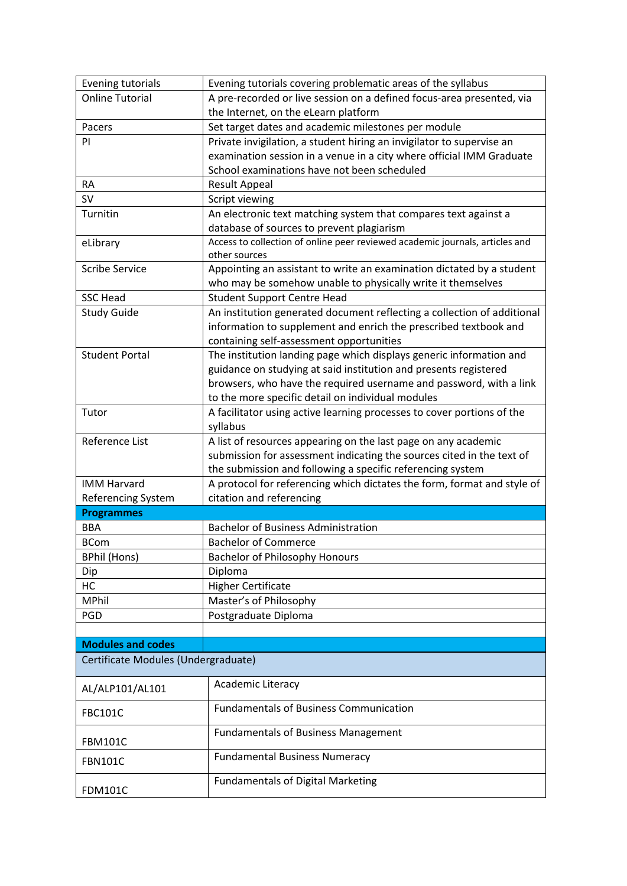| <b>Evening tutorials</b>            | Evening tutorials covering problematic areas of the syllabus                 |
|-------------------------------------|------------------------------------------------------------------------------|
| <b>Online Tutorial</b>              | A pre-recorded or live session on a defined focus-area presented, via        |
|                                     | the Internet, on the eLearn platform                                         |
| Pacers                              | Set target dates and academic milestones per module                          |
| PI                                  | Private invigilation, a student hiring an invigilator to supervise an        |
|                                     | examination session in a venue in a city where official IMM Graduate         |
|                                     | School examinations have not been scheduled                                  |
| <b>RA</b>                           | Result Appeal                                                                |
| <b>SV</b>                           | Script viewing                                                               |
| Turnitin                            | An electronic text matching system that compares text against a              |
|                                     | database of sources to prevent plagiarism                                    |
| eLibrary                            | Access to collection of online peer reviewed academic journals, articles and |
|                                     | other sources                                                                |
| <b>Scribe Service</b>               | Appointing an assistant to write an examination dictated by a student        |
|                                     | who may be somehow unable to physically write it themselves                  |
| <b>SSC Head</b>                     | <b>Student Support Centre Head</b>                                           |
| <b>Study Guide</b>                  | An institution generated document reflecting a collection of additional      |
|                                     | information to supplement and enrich the prescribed textbook and             |
|                                     | containing self-assessment opportunities                                     |
| <b>Student Portal</b>               | The institution landing page which displays generic information and          |
|                                     | guidance on studying at said institution and presents registered             |
|                                     | browsers, who have the required username and password, with a link           |
|                                     | to the more specific detail on individual modules                            |
| Tutor                               | A facilitator using active learning processes to cover portions of the       |
|                                     | syllabus                                                                     |
| Reference List                      | A list of resources appearing on the last page on any academic               |
|                                     | submission for assessment indicating the sources cited in the text of        |
|                                     | the submission and following a specific referencing system                   |
| <b>IMM Harvard</b>                  | A protocol for referencing which dictates the form, format and style of      |
| Referencing System                  | citation and referencing                                                     |
| <b>Programmes</b>                   |                                                                              |
| <b>BBA</b>                          | <b>Bachelor of Business Administration</b>                                   |
| <b>BCom</b>                         | <b>Bachelor of Commerce</b>                                                  |
| <b>BPhil (Hons)</b>                 | <b>Bachelor of Philosophy Honours</b>                                        |
| Dip                                 | Diploma                                                                      |
| HC                                  | <b>Higher Certificate</b>                                                    |
| MPhil                               | Master's of Philosophy                                                       |
| PGD                                 | Postgraduate Diploma                                                         |
|                                     |                                                                              |
| <b>Modules and codes</b>            |                                                                              |
| Certificate Modules (Undergraduate) |                                                                              |
|                                     | <b>Academic Literacy</b>                                                     |
| AL/ALP101/AL101                     |                                                                              |
| <b>FBC101C</b>                      | <b>Fundamentals of Business Communication</b>                                |
|                                     | <b>Fundamentals of Business Management</b>                                   |
| <b>FBM101C</b>                      |                                                                              |
|                                     |                                                                              |
| <b>FBN101C</b>                      | <b>Fundamental Business Numeracy</b>                                         |
| <b>FDM101C</b>                      | <b>Fundamentals of Digital Marketing</b>                                     |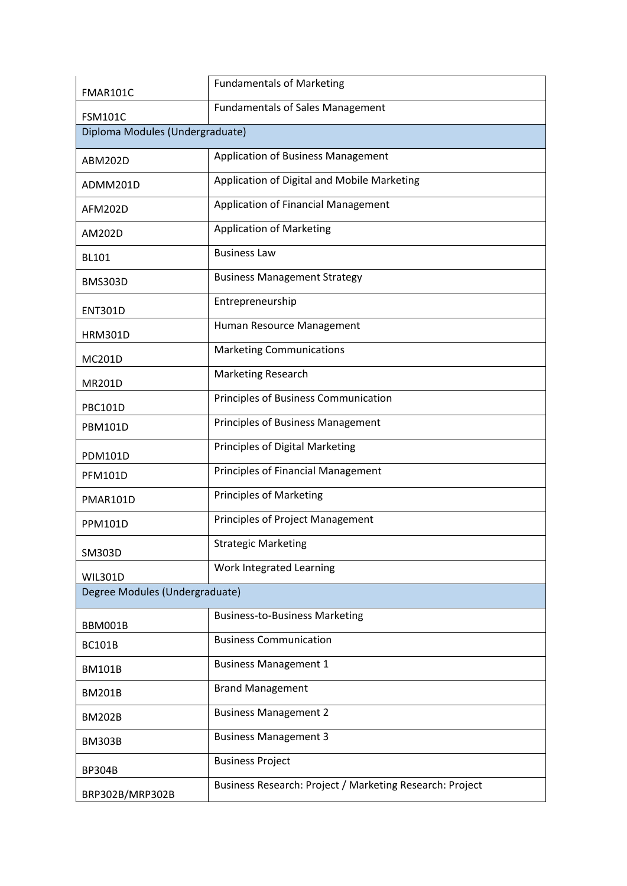| FMAR101C                        | <b>Fundamentals of Marketing</b>                         |
|---------------------------------|----------------------------------------------------------|
| <b>FSM101C</b>                  | <b>Fundamentals of Sales Management</b>                  |
| Diploma Modules (Undergraduate) |                                                          |
| ABM202D                         | Application of Business Management                       |
| ADMM201D                        | Application of Digital and Mobile Marketing              |
| <b>AFM202D</b>                  | Application of Financial Management                      |
| AM202D                          | <b>Application of Marketing</b>                          |
| <b>BL101</b>                    | <b>Business Law</b>                                      |
| <b>BMS303D</b>                  | <b>Business Management Strategy</b>                      |
| <b>ENT301D</b>                  | Entrepreneurship                                         |
| <b>HRM301D</b>                  | Human Resource Management                                |
| <b>MC201D</b>                   | <b>Marketing Communications</b>                          |
| <b>MR201D</b>                   | <b>Marketing Research</b>                                |
| <b>PBC101D</b>                  | Principles of Business Communication                     |
| <b>PBM101D</b>                  | Principles of Business Management                        |
| <b>PDM101D</b>                  | Principles of Digital Marketing                          |
| <b>PFM101D</b>                  | <b>Principles of Financial Management</b>                |
| PMAR101D                        | <b>Principles of Marketing</b>                           |
| <b>PPM101D</b>                  | Principles of Project Management                         |
| SM303D                          | <b>Strategic Marketing</b>                               |
| <b>WIL301D</b>                  | Work Integrated Learning                                 |
| Degree Modules (Undergraduate)  |                                                          |
| BBM001B                         | <b>Business-to-Business Marketing</b>                    |
| <b>BC101B</b>                   | <b>Business Communication</b>                            |
| <b>BM101B</b>                   | <b>Business Management 1</b>                             |
| <b>BM201B</b>                   | <b>Brand Management</b>                                  |
| <b>BM202B</b>                   | <b>Business Management 2</b>                             |
| <b>BM303B</b>                   | <b>Business Management 3</b>                             |
| <b>BP304B</b>                   | <b>Business Project</b>                                  |
| BRP302B/MRP302B                 | Business Research: Project / Marketing Research: Project |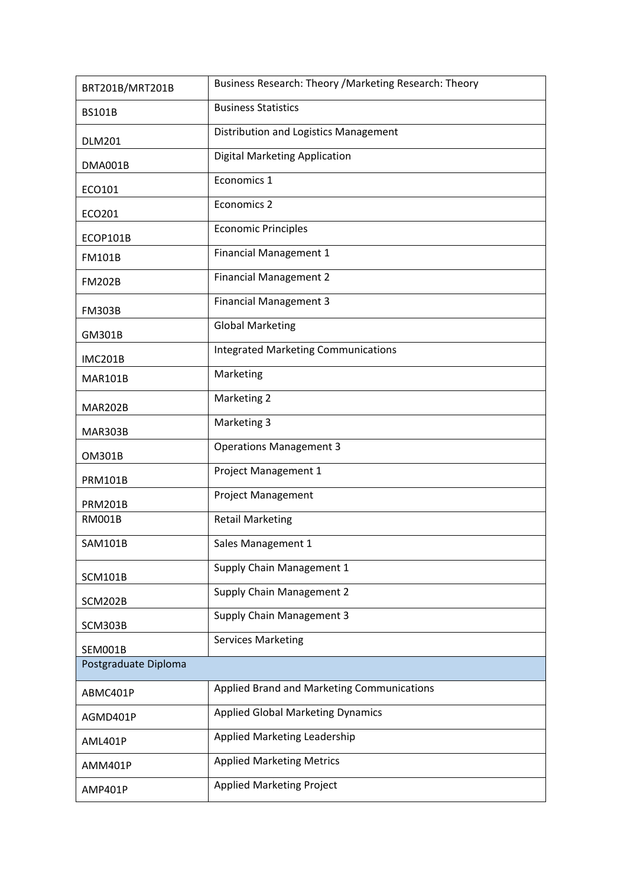| BRT201B/MRT201B      | Business Research: Theory / Marketing Research: Theory |
|----------------------|--------------------------------------------------------|
| <b>BS101B</b>        | <b>Business Statistics</b>                             |
| <b>DLM201</b>        | Distribution and Logistics Management                  |
| DMA001B              | <b>Digital Marketing Application</b>                   |
| ECO101               | Economics 1                                            |
| ECO201               | Economics 2                                            |
| ECOP101B             | <b>Economic Principles</b>                             |
| <b>FM101B</b>        | <b>Financial Management 1</b>                          |
| <b>FM202B</b>        | <b>Financial Management 2</b>                          |
| <b>FM303B</b>        | <b>Financial Management 3</b>                          |
| GM301B               | <b>Global Marketing</b>                                |
| <b>IMC201B</b>       | <b>Integrated Marketing Communications</b>             |
| <b>MAR101B</b>       | Marketing                                              |
| <b>MAR202B</b>       | Marketing 2                                            |
| MAR303B              | Marketing 3                                            |
| <b>OM301B</b>        | <b>Operations Management 3</b>                         |
| <b>PRM101B</b>       | Project Management 1                                   |
| <b>PRM201B</b>       | <b>Project Management</b>                              |
| <b>RM001B</b>        | <b>Retail Marketing</b>                                |
| <b>SAM101B</b>       | Sales Management 1                                     |
| <b>SCM101B</b>       | Supply Chain Management 1                              |
| <b>SCM202B</b>       | Supply Chain Management 2                              |
| SCM303B              | Supply Chain Management 3                              |
| SEM001B              | <b>Services Marketing</b>                              |
| Postgraduate Diploma |                                                        |
| ABMC401P             | Applied Brand and Marketing Communications             |
| AGMD401P             | <b>Applied Global Marketing Dynamics</b>               |
| AML401P              | Applied Marketing Leadership                           |
| AMM401P              | <b>Applied Marketing Metrics</b>                       |
| AMP401P              | <b>Applied Marketing Project</b>                       |